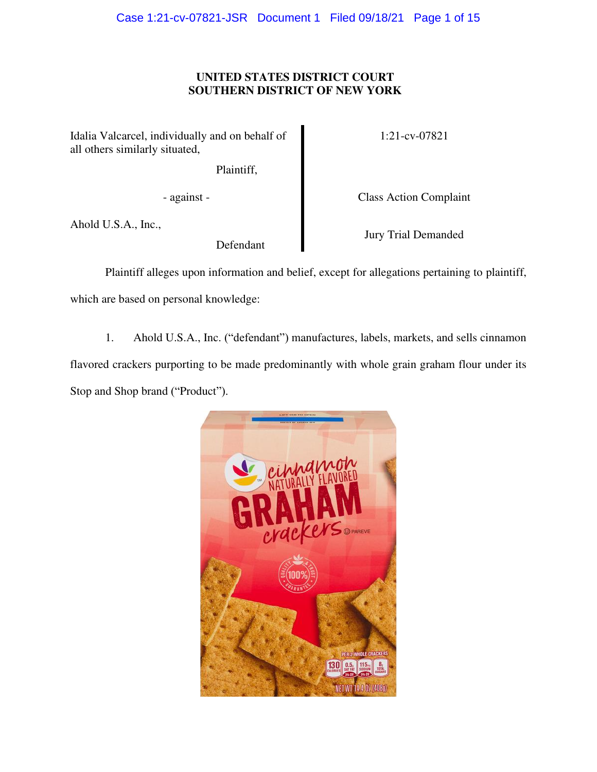# **UNITED STATES DISTRICT COURT SOUTHERN DISTRICT OF NEW YORK**

Idalia Valcarcel, individually and on behalf of all others similarly situated,

Plaintiff,

Ahold U.S.A., Inc.,

Defendant

1:21-cv-07821

- against - Class Action Complaint

Jury Trial Demanded

Plaintiff alleges upon information and belief, except for allegations pertaining to plaintiff, which are based on personal knowledge:

1. Ahold U.S.A., Inc. ("defendant") manufactures, labels, markets, and sells cinnamon flavored crackers purporting to be made predominantly with whole grain graham flour under its

Stop and Shop brand ("Product").

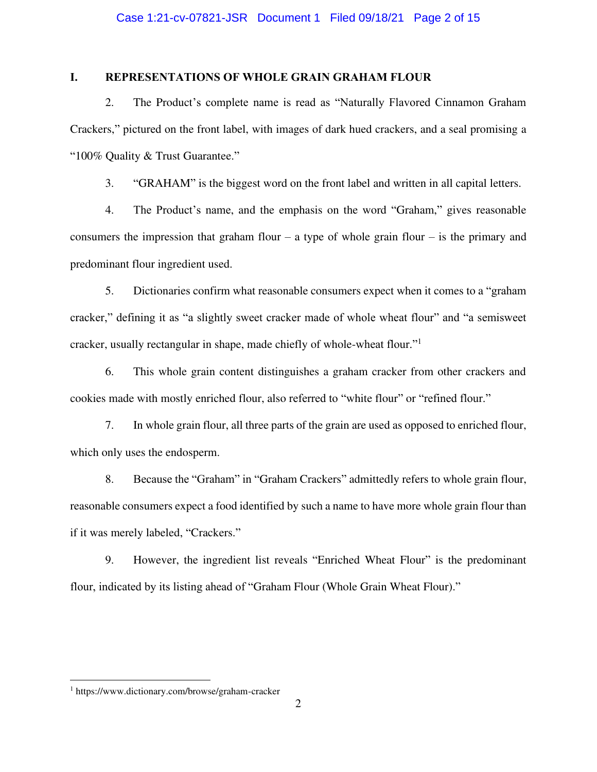# **I. REPRESENTATIONS OF WHOLE GRAIN GRAHAM FLOUR**

2. The Product's complete name is read as "Naturally Flavored Cinnamon Graham Crackers," pictured on the front label, with images of dark hued crackers, and a seal promising a "100% Quality & Trust Guarantee."

3. "GRAHAM" is the biggest word on the front label and written in all capital letters.

4. The Product's name, and the emphasis on the word "Graham," gives reasonable consumers the impression that graham flour – a type of whole grain flour – is the primary and predominant flour ingredient used.

5. Dictionaries confirm what reasonable consumers expect when it comes to a "graham cracker," defining it as "a slightly sweet cracker made of whole wheat flour" and "a semisweet cracker, usually rectangular in shape, made chiefly of whole-wheat flour."<sup>1</sup>

6. This whole grain content distinguishes a graham cracker from other crackers and cookies made with mostly enriched flour, also referred to "white flour" or "refined flour."

7. In whole grain flour, all three parts of the grain are used as opposed to enriched flour, which only uses the endosperm.

8. Because the "Graham" in "Graham Crackers" admittedly refers to whole grain flour, reasonable consumers expect a food identified by such a name to have more whole grain flour than if it was merely labeled, "Crackers."

9. However, the ingredient list reveals "Enriched Wheat Flour" is the predominant flour, indicated by its listing ahead of "Graham Flour (Whole Grain Wheat Flour)."

<sup>1</sup> https://www.dictionary.com/browse/graham-cracker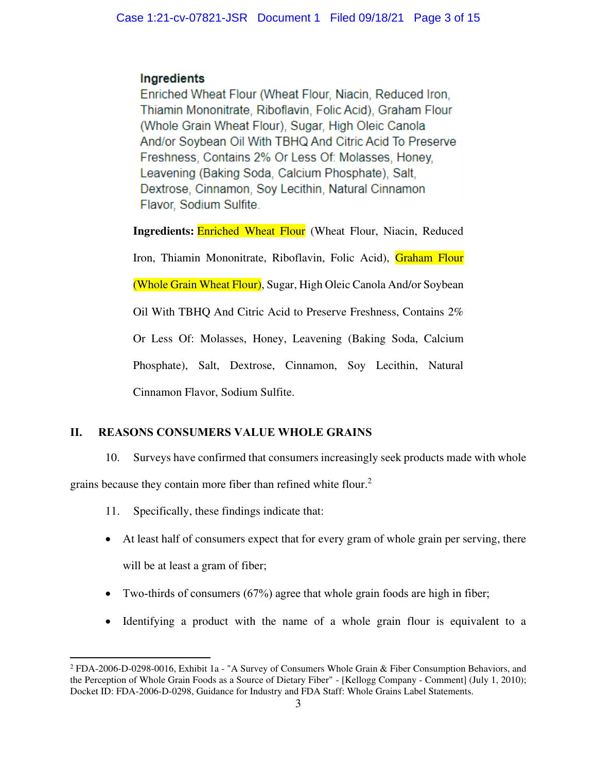# Ingredients

Enriched Wheat Flour (Wheat Flour, Niacin, Reduced Iron, Thiamin Mononitrate, Riboflavin, Folic Acid), Graham Flour (Whole Grain Wheat Flour), Sugar, High Oleic Canola And/or Soybean Oil With TBHQ And Citric Acid To Preserve Freshness, Contains 2% Or Less Of: Molasses, Honey, Leavening (Baking Soda, Calcium Phosphate), Salt, Dextrose, Cinnamon, Soy Lecithin, Natural Cinnamon Flavor, Sodium Sulfite.

**Ingredients: Enriched Wheat Flour** (Wheat Flour, Niacin, Reduced Iron, Thiamin Mononitrate, Riboflavin, Folic Acid), Graham Flour (Whole Grain Wheat Flour), Sugar, High Oleic Canola And/or Soybean Oil With TBHQ And Citric Acid to Preserve Freshness, Contains 2% Or Less Of: Molasses, Honey, Leavening (Baking Soda, Calcium Phosphate), Salt, Dextrose, Cinnamon, Soy Lecithin, Natural Cinnamon Flavor, Sodium Sulfite.

# **II. REASONS CONSUMERS VALUE WHOLE GRAINS**

10. Surveys have confirmed that consumers increasingly seek products made with whole

grains because they contain more fiber than refined white flour.<sup>2</sup>

- 11. Specifically, these findings indicate that:
- At least half of consumers expect that for every gram of whole grain per serving, there will be at least a gram of fiber;
- Two-thirds of consumers  $(67%)$  agree that whole grain foods are high in fiber;
- Identifying a product with the name of a whole grain flour is equivalent to a

<sup>&</sup>lt;sup>2</sup> FDA-2006-D-0298-0016, Exhibit 1a - "A Survey of Consumers Whole Grain & Fiber Consumption Behaviors, and the Perception of Whole Grain Foods as a Source of Dietary Fiber" - [Kellogg Company - Comment] (July 1, 2010); Docket ID: FDA-2006-D-0298, Guidance for Industry and FDA Staff: Whole Grains Label Statements.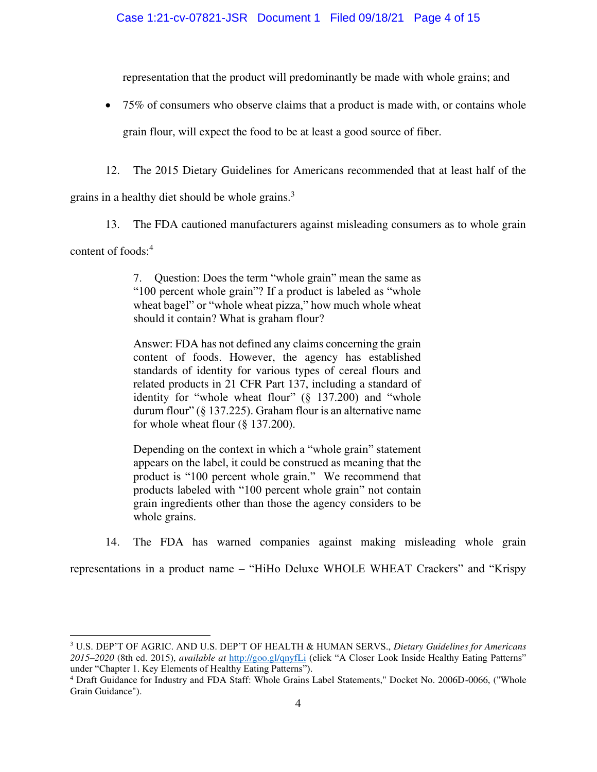representation that the product will predominantly be made with whole grains; and

• 75% of consumers who observe claims that a product is made with, or contains whole

grain flour, will expect the food to be at least a good source of fiber.

12. The 2015 Dietary Guidelines for Americans recommended that at least half of the

grains in a healthy diet should be whole grains.<sup>3</sup>

13. The FDA cautioned manufacturers against misleading consumers as to whole grain

content of foods:<sup>4</sup>

7. Question: Does the term "whole grain" mean the same as "100 percent whole grain"? If a product is labeled as "whole wheat bagel" or "whole wheat pizza," how much whole wheat should it contain? What is graham flour?

Answer: FDA has not defined any claims concerning the grain content of foods. However, the agency has established standards of identity for various types of cereal flours and related products in 21 CFR Part 137, including a standard of identity for "whole wheat flour" (§ 137.200) and "whole durum flour" (§ 137.225). Graham flour is an alternative name for whole wheat flour (§ 137.200).

Depending on the context in which a "whole grain" statement appears on the label, it could be construed as meaning that the product is "100 percent whole grain." We recommend that products labeled with "100 percent whole grain" not contain grain ingredients other than those the agency considers to be whole grains.

14. The FDA has warned companies against making misleading whole grain

representations in a product name – "HiHo Deluxe WHOLE WHEAT Crackers" and "Krispy

<sup>3</sup> U.S. DEP'T OF AGRIC. AND U.S. DEP'T OF HEALTH & HUMAN SERVS., *Dietary Guidelines for Americans 2015–2020* (8th ed. 2015), *available at* <http://goo.gl/qnyfLi> (click "A Closer Look Inside Healthy Eating Patterns" under "Chapter 1. Key Elements of Healthy Eating Patterns").

<sup>&</sup>lt;sup>4</sup> Draft Guidance for Industry and FDA Staff: Whole Grains Label Statements," Docket No. 2006D-0066, ("Whole Grain Guidance").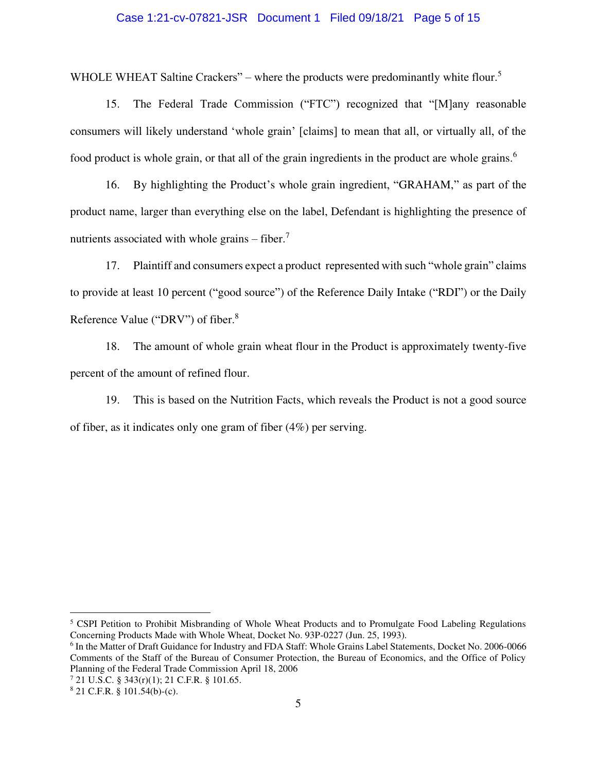## Case 1:21-cv-07821-JSR Document 1 Filed 09/18/21 Page 5 of 15

WHOLE WHEAT Saltine Crackers" – where the products were predominantly white flour.<sup>5</sup>

15. The Federal Trade Commission ("FTC") recognized that "[M]any reasonable consumers will likely understand 'whole grain' [claims] to mean that all, or virtually all, of the food product is whole grain, or that all of the grain ingredients in the product are whole grains.<sup>6</sup>

16. By highlighting the Product's whole grain ingredient, "GRAHAM," as part of the product name, larger than everything else on the label, Defendant is highlighting the presence of nutrients associated with whole grains  $-$  fiber.<sup>7</sup>

17. Plaintiff and consumers expect a product represented with such "whole grain" claims to provide at least 10 percent ("good source") of the Reference Daily Intake ("RDI") or the Daily Reference Value ("DRV") of fiber.<sup>8</sup>

18. The amount of whole grain wheat flour in the Product is approximately twenty-five percent of the amount of refined flour.

19. This is based on the Nutrition Facts, which reveals the Product is not a good source of fiber, as it indicates only one gram of fiber (4%) per serving.

<sup>&</sup>lt;sup>5</sup> CSPI Petition to Prohibit Misbranding of Whole Wheat Products and to Promulgate Food Labeling Regulations Concerning Products Made with Whole Wheat, Docket No. 93P-0227 (Jun. 25, 1993).

<sup>&</sup>lt;sup>6</sup> In the Matter of Draft Guidance for Industry and FDA Staff: Whole Grains Label Statements, Docket No. 2006-0066 Comments of the Staff of the Bureau of Consumer Protection, the Bureau of Economics, and the Office of Policy Planning of the Federal Trade Commission April 18, 2006

<sup>7</sup> 21 U.S.C. § 343(r)(1); 21 C.F.R. § 101.65.

 $8$  21 C.F.R. § 101.54(b)-(c).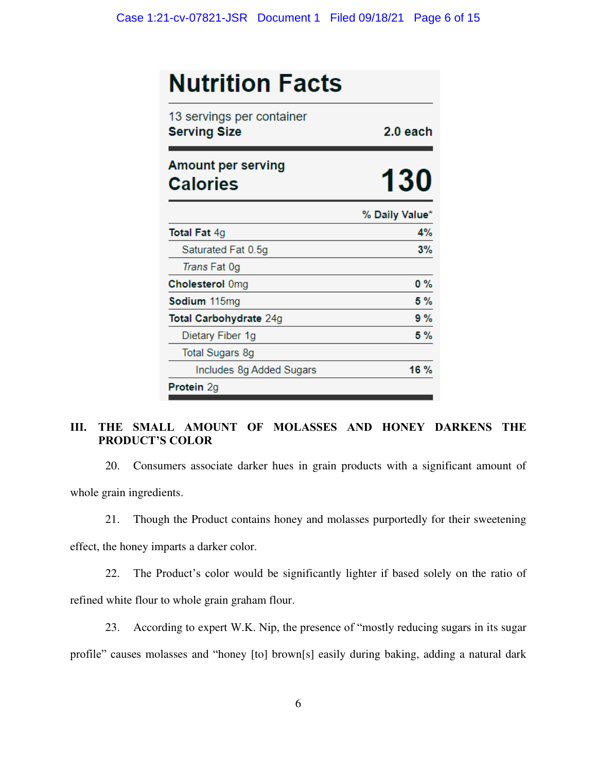| <b>Nutrition Facts</b>                           |                |
|--------------------------------------------------|----------------|
| 13 servings per container<br><b>Serving Size</b> | $2.0$ each     |
| <b>Amount per serving</b><br><b>Calories</b>     | <b>130</b>     |
|                                                  | % Daily Value* |
| <b>Total Fat 4g</b>                              | 4%             |
| Saturated Fat 0.5g                               | 3%             |
| Trans Fat 0g                                     |                |
| <b>Cholesterol Omg</b>                           | $0\%$          |
| Sodium 115mg                                     | 5 %            |
| Total Carbohydrate 24g                           | 9%             |
| Dietary Fiber 1g                                 | 5 %            |
| <b>Total Sugars 8g</b>                           |                |
| Includes 8g Added Sugars                         | 16 %           |
| Protein 2g                                       |                |

# **III. THE SMALL AMOUNT OF MOLASSES AND HONEY DARKENS THE PRODUCT'S COLOR**

20. Consumers associate darker hues in grain products with a significant amount of whole grain ingredients.

21. Though the Product contains honey and molasses purportedly for their sweetening

effect, the honey imparts a darker color.

22. The Product's color would be significantly lighter if based solely on the ratio of refined white flour to whole grain graham flour.

23. According to expert W.K. Nip, the presence of "mostly reducing sugars in its sugar profile" causes molasses and "honey [to] brown[s] easily during baking, adding a natural dark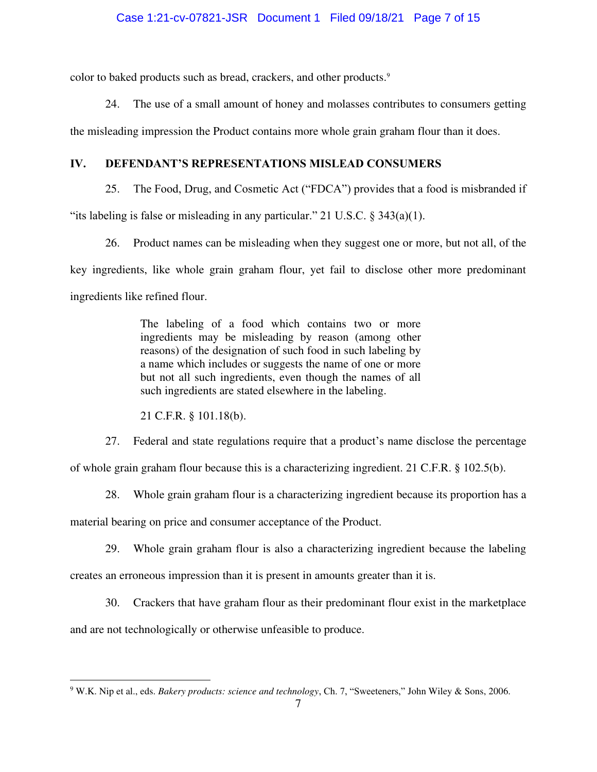color to baked products such as bread, crackers, and other products.<sup>9</sup>

24. The use of a small amount of honey and molasses contributes to consumers getting

the misleading impression the Product contains more whole grain graham flour than it does.

# **IV. DEFENDANT'S REPRESENTATIONS MISLEAD CONSUMERS**

25. The Food, Drug, and Cosmetic Act ("FDCA") provides that a food is misbranded if

"its labeling is false or misleading in any particular." 21 U.S.C.  $\S$  343(a)(1).

26. Product names can be misleading when they suggest one or more, but not all, of the key ingredients, like whole grain graham flour, yet fail to disclose other more predominant ingredients like refined flour.

> The labeling of a food which contains two or more ingredients may be misleading by reason (among other reasons) of the designation of such food in such labeling by a name which includes or suggests the name of one or more but not all such ingredients, even though the names of all such ingredients are stated elsewhere in the labeling.

21 C.F.R. § 101.18(b).

27. Federal and state regulations require that a product's name disclose the percentage

of whole grain graham flour because this is a characterizing ingredient. 21 C.F.R. § 102.5(b).

28. Whole grain graham flour is a characterizing ingredient because its proportion has a material bearing on price and consumer acceptance of the Product.

29. Whole grain graham flour is also a characterizing ingredient because the labeling creates an erroneous impression than it is present in amounts greater than it is.

30. Crackers that have graham flour as their predominant flour exist in the marketplace and are not technologically or otherwise unfeasible to produce.

<sup>9</sup> W.K. Nip et al., eds. *Bakery products: science and technology*, Ch. 7, "Sweeteners," John Wiley & Sons, 2006.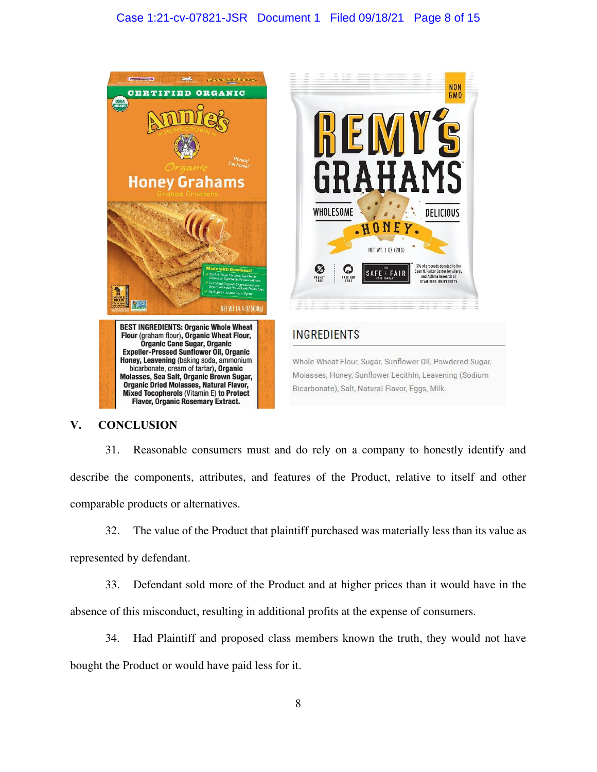# Case 1:21-cv-07821-JSR Document 1 Filed 09/18/21 Page 8 of 15



# **V. CONCLUSION**

31. Reasonable consumers must and do rely on a company to honestly identify and describe the components, attributes, and features of the Product, relative to itself and other comparable products or alternatives.

32. The value of the Product that plaintiff purchased was materially less than its value as represented by defendant.

33. Defendant sold more of the Product and at higher prices than it would have in the absence of this misconduct, resulting in additional profits at the expense of consumers.

34. Had Plaintiff and proposed class members known the truth, they would not have

bought the Product or would have paid less for it.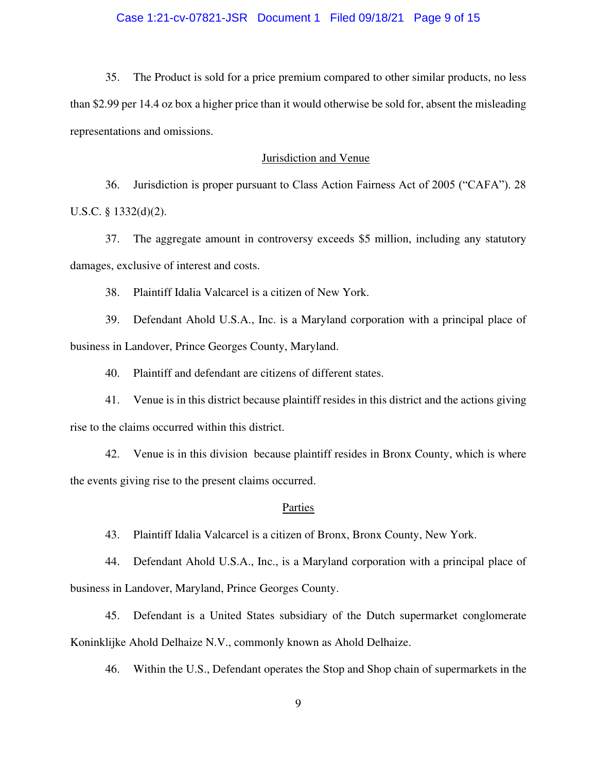35. The Product is sold for a price premium compared to other similar products, no less than \$2.99 per 14.4 oz box a higher price than it would otherwise be sold for, absent the misleading representations and omissions.

## Jurisdiction and Venue

36. Jurisdiction is proper pursuant to Class Action Fairness Act of 2005 ("CAFA"). 28 U.S.C. § 1332(d)(2).

37. The aggregate amount in controversy exceeds \$5 million, including any statutory damages, exclusive of interest and costs.

38. Plaintiff Idalia Valcarcel is a citizen of New York.

39. Defendant Ahold U.S.A., Inc. is a Maryland corporation with a principal place of business in Landover, Prince Georges County, Maryland.

40. Plaintiff and defendant are citizens of different states.

41. Venue is in this district because plaintiff resides in this district and the actions giving rise to the claims occurred within this district.

42. Venue is in this division because plaintiff resides in Bronx County, which is where the events giving rise to the present claims occurred.

#### Parties

43. Plaintiff Idalia Valcarcel is a citizen of Bronx, Bronx County, New York.

44. Defendant Ahold U.S.A., Inc., is a Maryland corporation with a principal place of business in Landover, Maryland, Prince Georges County.

45. Defendant is a United States subsidiary of the Dutch supermarket conglomerate Koninklijke Ahold Delhaize N.V., commonly known as Ahold Delhaize.

46. Within the U.S., Defendant operates the Stop and Shop chain of supermarkets in the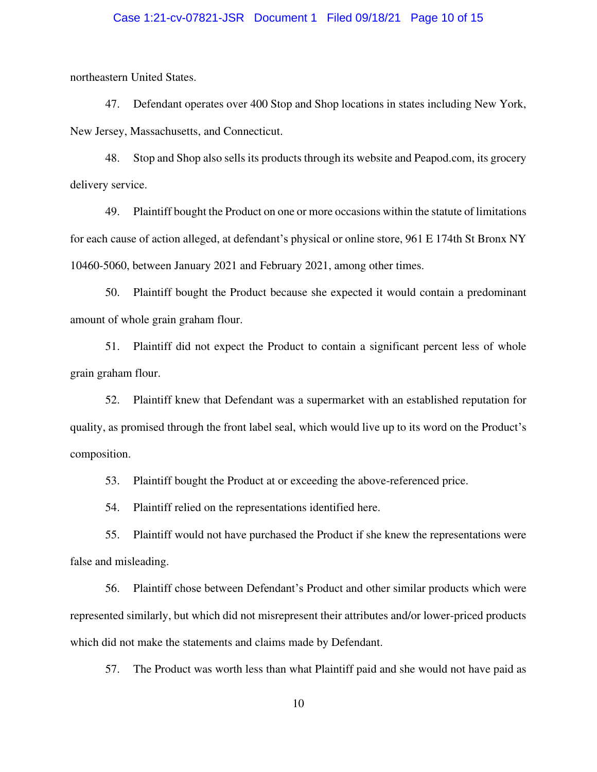## Case 1:21-cv-07821-JSR Document 1 Filed 09/18/21 Page 10 of 15

northeastern United States.

47. Defendant operates over 400 Stop and Shop locations in states including New York, New Jersey, Massachusetts, and Connecticut.

48. Stop and Shop also sells its products through its website and Peapod.com, its grocery delivery service.

49. Plaintiff bought the Product on one or more occasions within the statute of limitations for each cause of action alleged, at defendant's physical or online store, 961 E 174th St Bronx NY 10460-5060, between January 2021 and February 2021, among other times.

50. Plaintiff bought the Product because she expected it would contain a predominant amount of whole grain graham flour.

51. Plaintiff did not expect the Product to contain a significant percent less of whole grain graham flour.

52. Plaintiff knew that Defendant was a supermarket with an established reputation for quality, as promised through the front label seal, which would live up to its word on the Product's composition.

53. Plaintiff bought the Product at or exceeding the above-referenced price.

54. Plaintiff relied on the representations identified here.

55. Plaintiff would not have purchased the Product if she knew the representations were false and misleading.

56. Plaintiff chose between Defendant's Product and other similar products which were represented similarly, but which did not misrepresent their attributes and/or lower-priced products which did not make the statements and claims made by Defendant.

57. The Product was worth less than what Plaintiff paid and she would not have paid as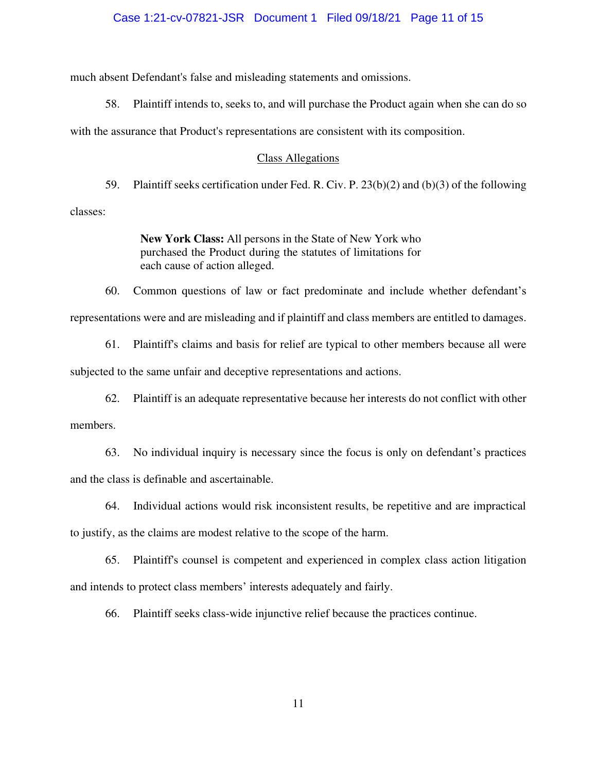#### Case 1:21-cv-07821-JSR Document 1 Filed 09/18/21 Page 11 of 15

much absent Defendant's false and misleading statements and omissions.

58. Plaintiff intends to, seeks to, and will purchase the Product again when she can do so

with the assurance that Product's representations are consistent with its composition.

#### Class Allegations

59. Plaintiff seeks certification under Fed. R. Civ. P. 23(b)(2) and (b)(3) of the following classes:

> **New York Class:** All persons in the State of New York who purchased the Product during the statutes of limitations for each cause of action alleged.

60. Common questions of law or fact predominate and include whether defendant's representations were and are misleading and if plaintiff and class members are entitled to damages.

61. Plaintiff's claims and basis for relief are typical to other members because all were subjected to the same unfair and deceptive representations and actions.

62. Plaintiff is an adequate representative because her interests do not conflict with other members.

63. No individual inquiry is necessary since the focus is only on defendant's practices and the class is definable and ascertainable.

64. Individual actions would risk inconsistent results, be repetitive and are impractical

to justify, as the claims are modest relative to the scope of the harm.

65. Plaintiff's counsel is competent and experienced in complex class action litigation and intends to protect class members' interests adequately and fairly.

66. Plaintiff seeks class-wide injunctive relief because the practices continue.

11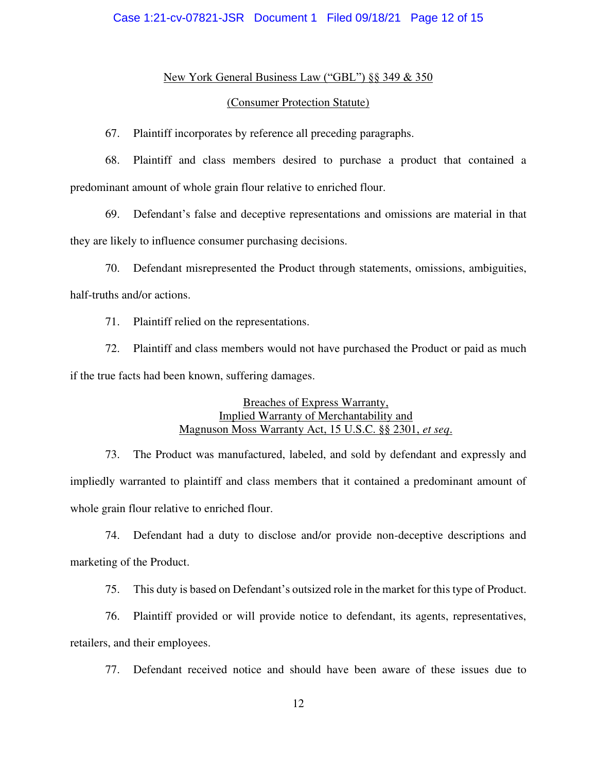## New York General Business Law ("GBL") §§ 349 & 350

#### (Consumer Protection Statute)

67. Plaintiff incorporates by reference all preceding paragraphs.

68. Plaintiff and class members desired to purchase a product that contained a predominant amount of whole grain flour relative to enriched flour.

69. Defendant's false and deceptive representations and omissions are material in that they are likely to influence consumer purchasing decisions.

70. Defendant misrepresented the Product through statements, omissions, ambiguities, half-truths and/or actions.

71. Plaintiff relied on the representations.

72. Plaintiff and class members would not have purchased the Product or paid as much if the true facts had been known, suffering damages.

> Breaches of Express Warranty, Implied Warranty of Merchantability and Magnuson Moss Warranty Act, 15 U.S.C. §§ 2301, *et seq*.

73. The Product was manufactured, labeled, and sold by defendant and expressly and impliedly warranted to plaintiff and class members that it contained a predominant amount of whole grain flour relative to enriched flour.

74. Defendant had a duty to disclose and/or provide non-deceptive descriptions and marketing of the Product.

75. This duty is based on Defendant's outsized role in the market for this type of Product.

76. Plaintiff provided or will provide notice to defendant, its agents, representatives, retailers, and their employees.

77. Defendant received notice and should have been aware of these issues due to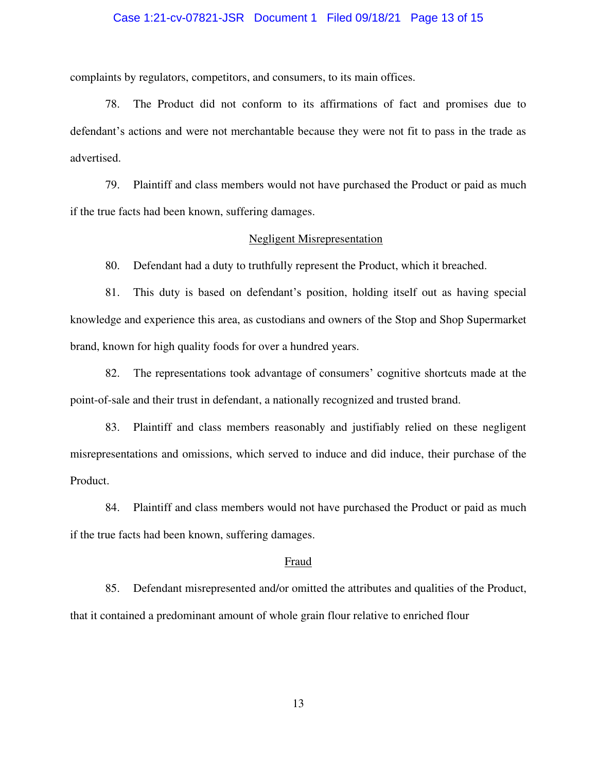## Case 1:21-cv-07821-JSR Document 1 Filed 09/18/21 Page 13 of 15

complaints by regulators, competitors, and consumers, to its main offices.

78. The Product did not conform to its affirmations of fact and promises due to defendant's actions and were not merchantable because they were not fit to pass in the trade as advertised.

79. Plaintiff and class members would not have purchased the Product or paid as much if the true facts had been known, suffering damages.

#### Negligent Misrepresentation

80. Defendant had a duty to truthfully represent the Product, which it breached.

81. This duty is based on defendant's position, holding itself out as having special knowledge and experience this area, as custodians and owners of the Stop and Shop Supermarket brand, known for high quality foods for over a hundred years.

82. The representations took advantage of consumers' cognitive shortcuts made at the point-of-sale and their trust in defendant, a nationally recognized and trusted brand.

83. Plaintiff and class members reasonably and justifiably relied on these negligent misrepresentations and omissions, which served to induce and did induce, their purchase of the Product.

84. Plaintiff and class members would not have purchased the Product or paid as much if the true facts had been known, suffering damages.

#### Fraud

85. Defendant misrepresented and/or omitted the attributes and qualities of the Product, that it contained a predominant amount of whole grain flour relative to enriched flour

13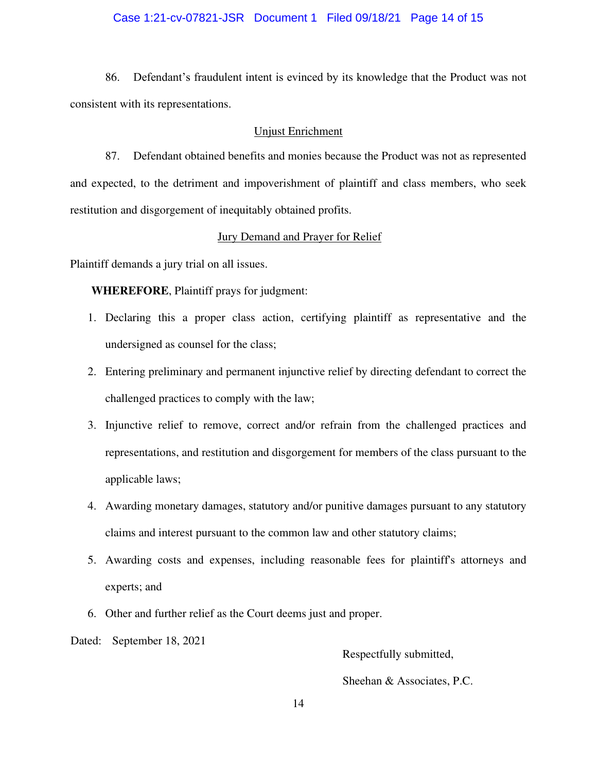## Case 1:21-cv-07821-JSR Document 1 Filed 09/18/21 Page 14 of 15

86. Defendant's fraudulent intent is evinced by its knowledge that the Product was not consistent with its representations.

#### Unjust Enrichment

87. Defendant obtained benefits and monies because the Product was not as represented and expected, to the detriment and impoverishment of plaintiff and class members, who seek restitution and disgorgement of inequitably obtained profits.

## Jury Demand and Prayer for Relief

Plaintiff demands a jury trial on all issues.

**WHEREFORE**, Plaintiff prays for judgment:

- 1. Declaring this a proper class action, certifying plaintiff as representative and the undersigned as counsel for the class;
- 2. Entering preliminary and permanent injunctive relief by directing defendant to correct the challenged practices to comply with the law;
- 3. Injunctive relief to remove, correct and/or refrain from the challenged practices and representations, and restitution and disgorgement for members of the class pursuant to the applicable laws;
- 4. Awarding monetary damages, statutory and/or punitive damages pursuant to any statutory claims and interest pursuant to the common law and other statutory claims;
- 5. Awarding costs and expenses, including reasonable fees for plaintiff's attorneys and experts; and
- 6. Other and further relief as the Court deems just and proper.

Dated: September 18, 2021

Respectfully submitted,

Sheehan & Associates, P.C.